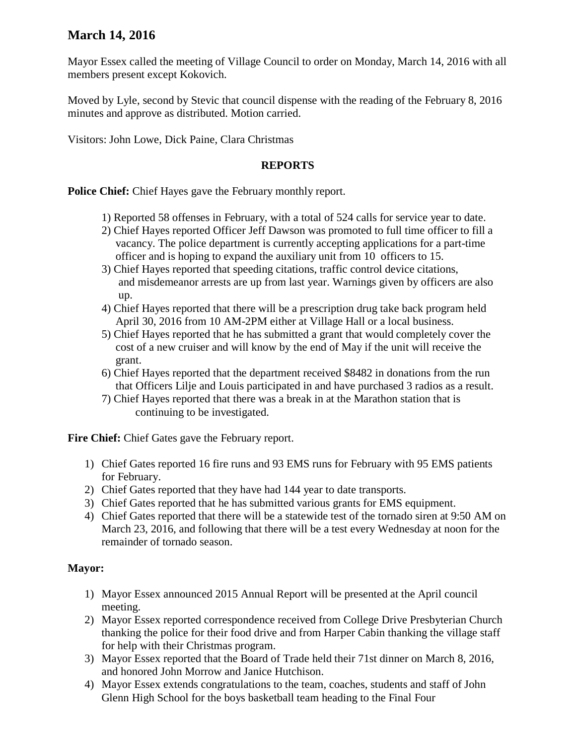# **March 14, 2016**

Mayor Essex called the meeting of Village Council to order on Monday, March 14, 2016 with all members present except Kokovich.

Moved by Lyle, second by Stevic that council dispense with the reading of the February 8, 2016 minutes and approve as distributed. Motion carried.

Visitors: John Lowe, Dick Paine, Clara Christmas

### **REPORTS**

**Police Chief:** Chief Hayes gave the February monthly report.

- 1) Reported 58 offenses in February, with a total of 524 calls for service year to date.
- 2) Chief Hayes reported Officer Jeff Dawson was promoted to full time officer to fill a vacancy. The police department is currently accepting applications for a part-time officer and is hoping to expand the auxiliary unit from 10 officers to 15.
- 3) Chief Hayes reported that speeding citations, traffic control device citations, and misdemeanor arrests are up from last year. Warnings given by officers are also up.
- 4) Chief Hayes reported that there will be a prescription drug take back program held April 30, 2016 from 10 AM-2PM either at Village Hall or a local business.
- 5) Chief Hayes reported that he has submitted a grant that would completely cover the cost of a new cruiser and will know by the end of May if the unit will receive the grant.
- 6) Chief Hayes reported that the department received \$8482 in donations from the run that Officers Lilje and Louis participated in and have purchased 3 radios as a result.
- 7) Chief Hayes reported that there was a break in at the Marathon station that is continuing to be investigated.

**Fire Chief:** Chief Gates gave the February report.

- 1) Chief Gates reported 16 fire runs and 93 EMS runs for February with 95 EMS patients for February.
- 2) Chief Gates reported that they have had 144 year to date transports.
- 3) Chief Gates reported that he has submitted various grants for EMS equipment.
- 4) Chief Gates reported that there will be a statewide test of the tornado siren at 9:50 AM on March 23, 2016, and following that there will be a test every Wednesday at noon for the remainder of tornado season.

## **Mayor:**

- 1) Mayor Essex announced 2015 Annual Report will be presented at the April council meeting.
- 2) Mayor Essex reported correspondence received from College Drive Presbyterian Church thanking the police for their food drive and from Harper Cabin thanking the village staff for help with their Christmas program.
- 3) Mayor Essex reported that the Board of Trade held their 71st dinner on March 8, 2016, and honored John Morrow and Janice Hutchison.
- 4) Mayor Essex extends congratulations to the team, coaches, students and staff of John Glenn High School for the boys basketball team heading to the Final Four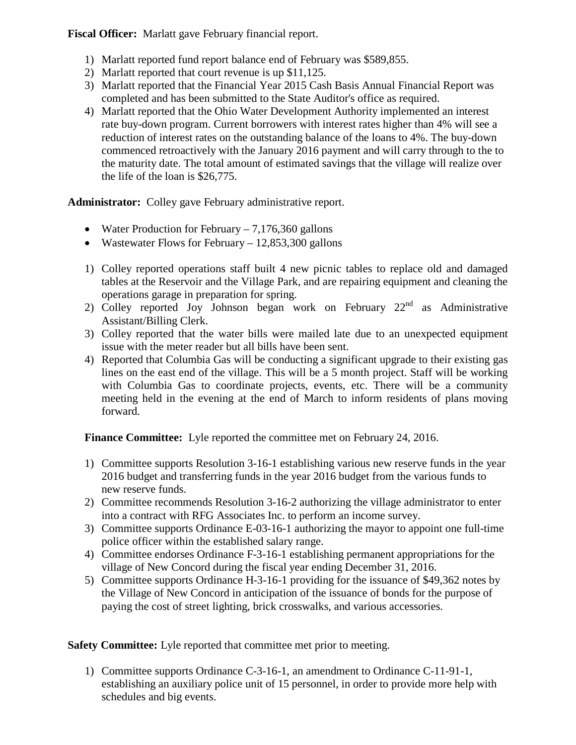**Fiscal Officer:** Marlatt gave February financial report.

- 1) Marlatt reported fund report balance end of February was \$589,855.
- 2) Marlatt reported that court revenue is up \$11,125.
- 3) Marlatt reported that the Financial Year 2015 Cash Basis Annual Financial Report was completed and has been submitted to the State Auditor's office as required.
- 4) Marlatt reported that the Ohio Water Development Authority implemented an interest rate buy-down program. Current borrowers with interest rates higher than 4% will see a reduction of interest rates on the outstanding balance of the loans to 4%. The buy-down commenced retroactively with the January 2016 payment and will carry through to the to the maturity date. The total amount of estimated savings that the village will realize over the life of the loan is \$26,775.

**Administrator:** Colley gave February administrative report.

- Water Production for February  $-7,176,360$  gallons
- Wastewater Flows for February 12,853,300 gallons
- 1) Colley reported operations staff built 4 new picnic tables to replace old and damaged tables at the Reservoir and the Village Park, and are repairing equipment and cleaning the operations garage in preparation for spring.
- 2) Colley reported Joy Johnson began work on February 22<sup>nd</sup> as Administrative Assistant/Billing Clerk.
- 3) Colley reported that the water bills were mailed late due to an unexpected equipment issue with the meter reader but all bills have been sent.
- 4) Reported that Columbia Gas will be conducting a significant upgrade to their existing gas lines on the east end of the village. This will be a 5 month project. Staff will be working with Columbia Gas to coordinate projects, events, etc. There will be a community meeting held in the evening at the end of March to inform residents of plans moving forward.

**Finance Committee:** Lyle reported the committee met on February 24, 2016.

- 1) Committee supports Resolution 3-16-1 establishing various new reserve funds in the year 2016 budget and transferring funds in the year 2016 budget from the various funds to new reserve funds.
- 2) Committee recommends Resolution 3-16-2 authorizing the village administrator to enter into a contract with RFG Associates Inc. to perform an income survey.
- 3) Committee supports Ordinance E-03-16-1 authorizing the mayor to appoint one full-time police officer within the established salary range.
- 4) Committee endorses Ordinance F-3-16-1 establishing permanent appropriations for the village of New Concord during the fiscal year ending December 31, 2016.
- 5) Committee supports Ordinance H-3-16-1 providing for the issuance of \$49,362 notes by the Village of New Concord in anticipation of the issuance of bonds for the purpose of paying the cost of street lighting, brick crosswalks, and various accessories.

**Safety Committee:** Lyle reported that committee met prior to meeting.

1) Committee supports Ordinance C-3-16-1, an amendment to Ordinance C-11-91-1, establishing an auxiliary police unit of 15 personnel, in order to provide more help with schedules and big events.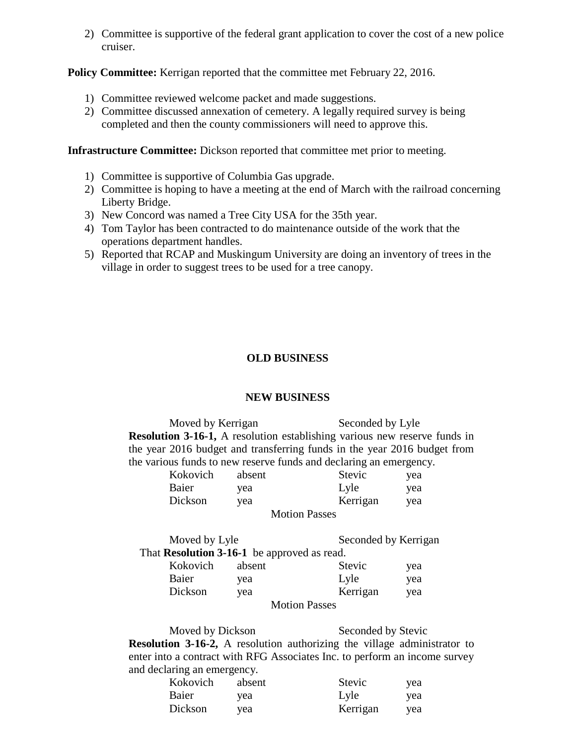2) Committee is supportive of the federal grant application to cover the cost of a new police cruiser.

#### **Policy Committee:** Kerrigan reported that the committee met February 22, 2016.

- 1) Committee reviewed welcome packet and made suggestions.
- 2) Committee discussed annexation of cemetery. A legally required survey is being completed and then the county commissioners will need to approve this.

**Infrastructure Committee:** Dickson reported that committee met prior to meeting.

- 1) Committee is supportive of Columbia Gas upgrade.
- 2) Committee is hoping to have a meeting at the end of March with the railroad concerning Liberty Bridge.
- 3) New Concord was named a Tree City USA for the 35th year.
- 4) Tom Taylor has been contracted to do maintenance outside of the work that the operations department handles.
- 5) Reported that RCAP and Muskingum University are doing an inventory of trees in the village in order to suggest trees to be used for a tree canopy.

## **OLD BUSINESS**

#### **NEW BUSINESS**

Moved by Kerrigan Seconded by Lyle **Resolution 3-16-1,** A resolution establishing various new reserve funds in the year 2016 budget and transferring funds in the year 2016 budget from the various funds to new reserve funds and declaring an emergency.

| Kokovich | absent | <b>Stevic</b>        | yea |
|----------|--------|----------------------|-----|
| Baier    | yea    | Lyle                 | yea |
| Dickson  | yea    | Kerrigan             | yea |
|          |        | <b>Motion Passes</b> |     |

Moved by Lyle Seconded by Kerrigan That **Resolution 3-16-1** be approved as read. Kokovich absent Stevic yea<br>Baiar yea I yle Baier yea Lyle yea

| Daici   | vca | <b>LyIC</b>          | vea |
|---------|-----|----------------------|-----|
| Dickson | vea | Kerrigan             | vea |
|         |     | <b>Motion Passes</b> |     |

Moved by Dickson Seconded by Stevic **Resolution 3-16-2,** A resolution authorizing the village administrator to enter into a contract with RFG Associates Inc. to perform an income survey and declaring an emergency.

| Kokovich | absent | Stevic   | yea |
|----------|--------|----------|-----|
| Baier    | vea    | Lyle     | yea |
| Dickson  | vea    | Kerrigan | vea |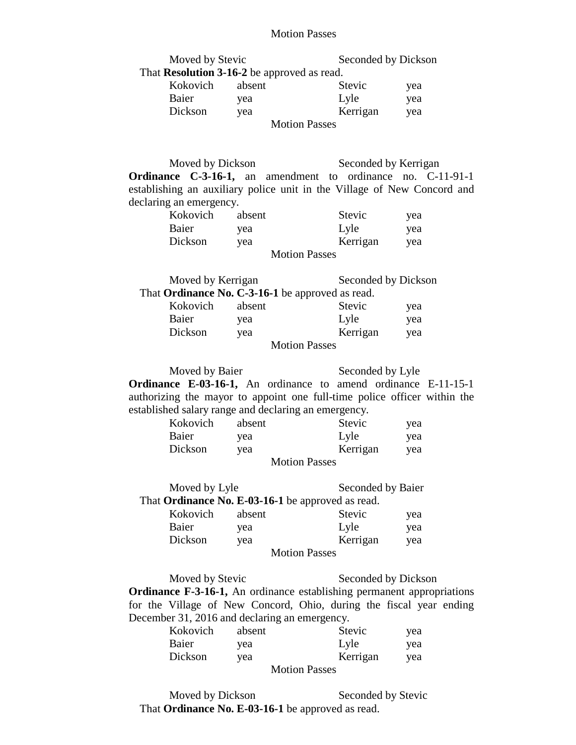#### Motion Passes

|                         | <b>Motion Passes</b>                                                                                                                                 |                      |            |
|-------------------------|------------------------------------------------------------------------------------------------------------------------------------------------------|----------------------|------------|
|                         |                                                                                                                                                      | Seconded by Dickson  |            |
| Moved by Stevic         | That Resolution 3-16-2 be approved as read.                                                                                                          |                      |            |
| Kokovich                | absent                                                                                                                                               | Stevic               |            |
| Baier                   |                                                                                                                                                      | Lyle                 | yea        |
| Dickson                 | yea                                                                                                                                                  | Kerrigan             | yea        |
|                         | yea<br><b>Motion Passes</b>                                                                                                                          |                      | yea        |
|                         |                                                                                                                                                      |                      |            |
|                         |                                                                                                                                                      |                      |            |
| Moved by Dickson        |                                                                                                                                                      | Seconded by Kerrigan |            |
|                         | Ordinance C-3-16-1, an amendment to ordinance no. C-11-91-1                                                                                          |                      |            |
|                         | establishing an auxiliary police unit in the Village of New Concord and                                                                              |                      |            |
| declaring an emergency. |                                                                                                                                                      |                      |            |
| Kokovich absent         |                                                                                                                                                      | Stevic               | yea        |
| Baier                   | yea                                                                                                                                                  | Lyle                 | yea        |
| Dickson                 | yea                                                                                                                                                  | Kerrigan             | yea        |
|                         | <b>Motion Passes</b>                                                                                                                                 |                      |            |
|                         |                                                                                                                                                      |                      |            |
| Moved by Kerrigan       |                                                                                                                                                      | Seconded by Dickson  |            |
|                         | That Ordinance No. C-3-16-1 be approved as read.                                                                                                     |                      |            |
| Kokovich                | absent                                                                                                                                               | Stevic               | yea        |
| Baier                   | yea                                                                                                                                                  | Lyle                 | yea        |
| Dickson                 | yea                                                                                                                                                  | Kerrigan             | yea        |
|                         | <b>Motion Passes</b>                                                                                                                                 |                      |            |
| Moved by Baier          |                                                                                                                                                      | Seconded by Lyle     |            |
|                         | <b>Ordinance E-03-16-1,</b> An ordinance to amend ordinance E-11-15-1                                                                                |                      |            |
|                         | authorizing the mayor to appoint one full-time police officer within the                                                                             |                      |            |
|                         | established salary range and declaring an emergency.                                                                                                 |                      |            |
| Kokovich                | absent                                                                                                                                               | <b>Stevic</b>        | yea        |
| Baier                   | yea                                                                                                                                                  | Lyle                 | yea        |
| Dickson                 | yea                                                                                                                                                  | Kerrigan             | yea        |
|                         | <b>Motion Passes</b>                                                                                                                                 |                      |            |
|                         |                                                                                                                                                      |                      |            |
| Moved by Lyle           |                                                                                                                                                      | Seconded by Baier    |            |
|                         | That Ordinance No. E-03-16-1 be approved as read.                                                                                                    |                      |            |
| Kokovich                | absent                                                                                                                                               | Stevic               | yea        |
| Baier                   | yea                                                                                                                                                  | Lyle                 | yea        |
| Dickson                 | yea                                                                                                                                                  | Kerrigan             | yea        |
|                         | <b>Motion Passes</b>                                                                                                                                 |                      |            |
|                         |                                                                                                                                                      |                      |            |
| Moved by Stevic         |                                                                                                                                                      | Seconded by Dickson  |            |
|                         | <b>Ordinance F-3-16-1,</b> An ordinance establishing permanent appropriations<br>for the Village of New Concord, Ohio, during the fiscal year ending |                      |            |
|                         | December 31, 2016 and declaring an emergency.                                                                                                        |                      |            |
| Kokovich                | absent                                                                                                                                               | Stevic               |            |
| Baier                   | yea                                                                                                                                                  | Lyle                 | yea<br>yea |
| Dickson                 | yea                                                                                                                                                  | Kerrigan             | yea        |
|                         |                                                                                                                                                      |                      |            |

Motion Passes

Moved by Dickson Seconded by Stevic That **Ordinance No. E-03-16-1** be approved as read.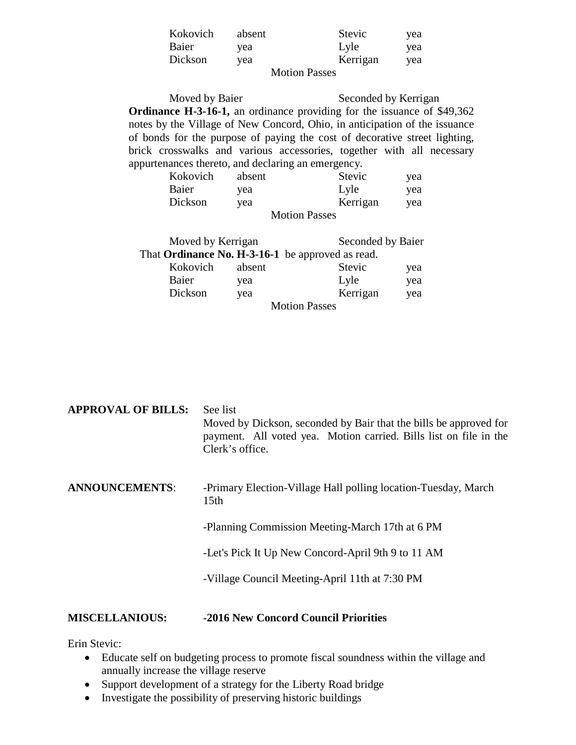| Kokovich             | absent | Stevic   | yea |
|----------------------|--------|----------|-----|
| Baier                | yea    | Lyle     | yea |
| Dickson              | vea    | Kerrigan | yea |
| <b>Motion Passes</b> |        |          |     |

Moved by Baier Seconded by Kerrigan **Ordinance H-3-16-1,** an ordinance providing for the issuance of \$49,362 notes by the Village of New Concord, Ohio, in anticipation of the issuance of bonds for the purpose of paying the cost of decorative street lighting, brick crosswalks and various accessories, together with all necessary appurtenances thereto, and declaring an emergency.

| Kokovich             | absent | Stevic   | yea |
|----------------------|--------|----------|-----|
| Baier                | yea    | Lyle     | yea |
| Dickson              | vea    | Kerrigan | yea |
| <b>Motion Passes</b> |        |          |     |

| Moved by Kerrigan                                |        |                      | Seconded by Baier |     |
|--------------------------------------------------|--------|----------------------|-------------------|-----|
| That Ordinance No. H-3-16-1 be approved as read. |        |                      |                   |     |
| Kokovich                                         | absent |                      | Stevic            | yea |
| Baier                                            | yea    |                      | Lyle              | yea |
| Dickson                                          | yea    |                      | Kerrigan          | yea |
|                                                  |        | <b>Motion Passes</b> |                   |     |

| <b>MISCELLANIOUS:</b>     | -2016 New Concord Council Priorities                                                                                                                                  |
|---------------------------|-----------------------------------------------------------------------------------------------------------------------------------------------------------------------|
|                           | -Village Council Meeting-April 11th at 7:30 PM                                                                                                                        |
|                           | -Let's Pick It Up New Concord-April 9th 9 to 11 AM                                                                                                                    |
|                           | -Planning Commission Meeting-March 17th at 6 PM                                                                                                                       |
| <b>ANNOUNCEMENTS:</b>     | -Primary Election-Village Hall polling location-Tuesday, March<br>15 <sub>th</sub>                                                                                    |
| <b>APPROVAL OF BILLS:</b> | See list<br>Moved by Dickson, seconded by Bair that the bills be approved for<br>payment. All voted yea. Motion carried. Bills list on file in the<br>Clerk's office. |

Erin Stevic:

- Educate self on budgeting process to promote fiscal soundness within the village and annually increase the village reserve
- Support development of a strategy for the Liberty Road bridge
- Investigate the possibility of preserving historic buildings